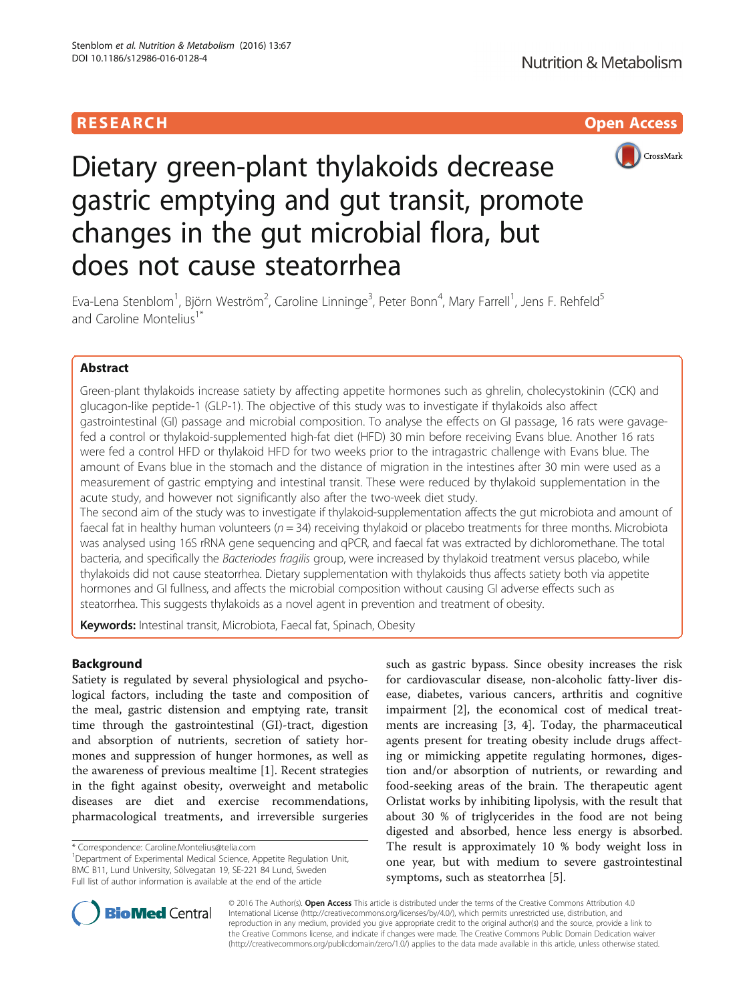## **RESEARCH CHILD CONTROL** CONTROL CONTROL CONTROL CONTROL CONTROL CONTROL CONTROL CONTROL CONTROL CONTROL CONTROL



# Dietary green-plant thylakoids decrease gastric emptying and gut transit, promote changes in the gut microbial flora, but does not cause steatorrhea

Eva-Lena Stenblom<sup>1</sup>, Björn Weström<sup>2</sup>, Caroline Linninge<sup>3</sup>, Peter Bonn<sup>4</sup>, Mary Farrell<sup>1</sup>, Jens F. Rehfeld<sup>5</sup> and Caroline Montelius<sup>1\*</sup>

## Abstract

Green-plant thylakoids increase satiety by affecting appetite hormones such as ghrelin, cholecystokinin (CCK) and glucagon-like peptide-1 (GLP-1). The objective of this study was to investigate if thylakoids also affect gastrointestinal (GI) passage and microbial composition. To analyse the effects on GI passage, 16 rats were gavagefed a control or thylakoid-supplemented high-fat diet (HFD) 30 min before receiving Evans blue. Another 16 rats were fed a control HFD or thylakoid HFD for two weeks prior to the intragastric challenge with Evans blue. The amount of Evans blue in the stomach and the distance of migration in the intestines after 30 min were used as a measurement of gastric emptying and intestinal transit. These were reduced by thylakoid supplementation in the acute study, and however not significantly also after the two-week diet study.

The second aim of the study was to investigate if thylakoid-supplementation affects the gut microbiota and amount of faecal fat in healthy human volunteers ( $n = 34$ ) receiving thylakoid or placebo treatments for three months. Microbiota was analysed using 16S rRNA gene sequencing and qPCR, and faecal fat was extracted by dichloromethane. The total bacteria, and specifically the Bacteriodes fragilis group, were increased by thylakoid treatment versus placebo, while thylakoids did not cause steatorrhea. Dietary supplementation with thylakoids thus affects satiety both via appetite hormones and GI fullness, and affects the microbial composition without causing GI adverse effects such as steatorrhea. This suggests thylakoids as a novel agent in prevention and treatment of obesity.

Keywords: Intestinal transit, Microbiota, Faecal fat, Spinach, Obesity

## Background

Satiety is regulated by several physiological and psychological factors, including the taste and composition of the meal, gastric distension and emptying rate, transit time through the gastrointestinal (GI)-tract, digestion and absorption of nutrients, secretion of satiety hormones and suppression of hunger hormones, as well as the awareness of previous mealtime [[1\]](#page-7-0). Recent strategies in the fight against obesity, overweight and metabolic diseases are diet and exercise recommendations, pharmacological treatments, and irreversible surgeries

such as gastric bypass. Since obesity increases the risk for cardiovascular disease, non-alcoholic fatty-liver disease, diabetes, various cancers, arthritis and cognitive impairment [[2\]](#page-7-0), the economical cost of medical treatments are increasing [\[3](#page-7-0), [4\]](#page-7-0). Today, the pharmaceutical agents present for treating obesity include drugs affecting or mimicking appetite regulating hormones, digestion and/or absorption of nutrients, or rewarding and food-seeking areas of the brain. The therapeutic agent Orlistat works by inhibiting lipolysis, with the result that about 30 % of triglycerides in the food are not being digested and absorbed, hence less energy is absorbed. The result is approximately 10 % body weight loss in one year, but with medium to severe gastrointestinal symptoms, such as steatorrhea [\[5](#page-8-0)].



© 2016 The Author(s). Open Access This article is distributed under the terms of the Creative Commons Attribution 4.0 International License [\(http://creativecommons.org/licenses/by/4.0/](http://creativecommons.org/licenses/by/4.0/)), which permits unrestricted use, distribution, and reproduction in any medium, provided you give appropriate credit to the original author(s) and the source, provide a link to the Creative Commons license, and indicate if changes were made. The Creative Commons Public Domain Dedication waiver [\(http://creativecommons.org/publicdomain/zero/1.0/](http://creativecommons.org/publicdomain/zero/1.0/)) applies to the data made available in this article, unless otherwise stated.

<sup>\*</sup> Correspondence: [Caroline.Montelius@telia.com](mailto:Caroline.Montelius@telia.com) <sup>1</sup>

<sup>&</sup>lt;sup>1</sup>Department of Experimental Medical Science, Appetite Regulation Unit, BMC B11, Lund University, Sölvegatan 19, SE-221 84 Lund, Sweden Full list of author information is available at the end of the article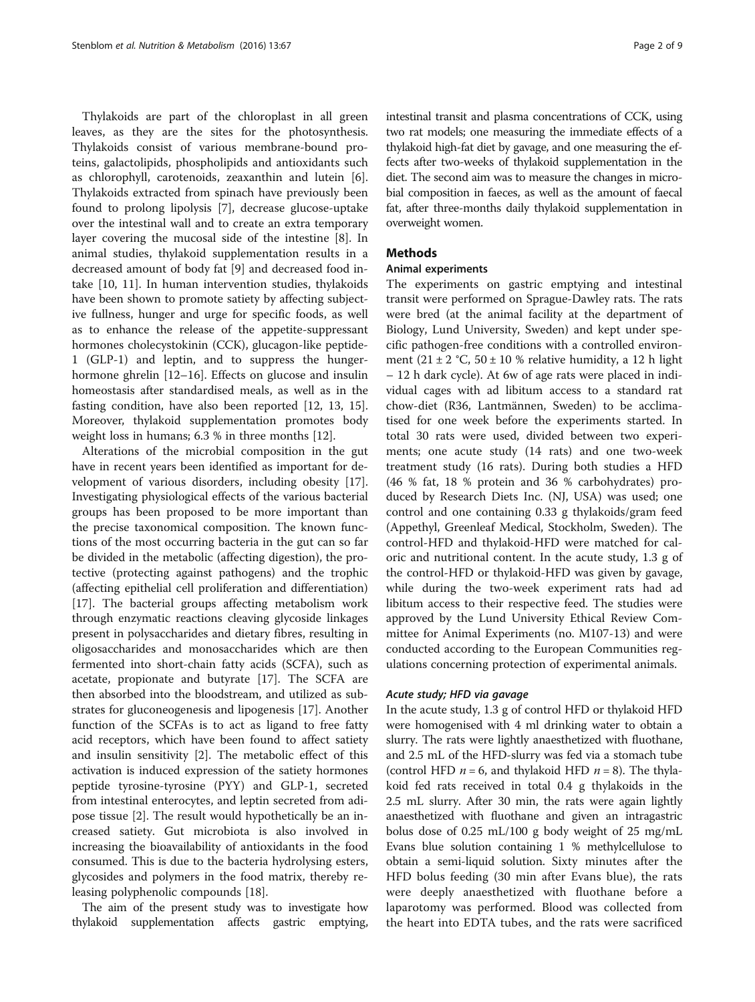Thylakoids are part of the chloroplast in all green leaves, as they are the sites for the photosynthesis. Thylakoids consist of various membrane-bound proteins, galactolipids, phospholipids and antioxidants such as chlorophyll, carotenoids, zeaxanthin and lutein [\[6](#page-8-0)]. Thylakoids extracted from spinach have previously been found to prolong lipolysis [[7\]](#page-8-0), decrease glucose-uptake over the intestinal wall and to create an extra temporary layer covering the mucosal side of the intestine [\[8](#page-8-0)]. In animal studies, thylakoid supplementation results in a decreased amount of body fat [\[9](#page-8-0)] and decreased food intake [[10](#page-8-0), [11](#page-8-0)]. In human intervention studies, thylakoids have been shown to promote satiety by affecting subjective fullness, hunger and urge for specific foods, as well as to enhance the release of the appetite-suppressant hormones cholecystokinin (CCK), glucagon-like peptide-1 (GLP-1) and leptin, and to suppress the hunger-hormone ghrelin [\[12](#page-8-0)–[16\]](#page-8-0). Effects on glucose and insulin homeostasis after standardised meals, as well as in the fasting condition, have also been reported [[12, 13, 15](#page-8-0)]. Moreover, thylakoid supplementation promotes body weight loss in humans; 6.3 % in three months [[12\]](#page-8-0).

Alterations of the microbial composition in the gut have in recent years been identified as important for development of various disorders, including obesity [\[17](#page-8-0)]. Investigating physiological effects of the various bacterial groups has been proposed to be more important than the precise taxonomical composition. The known functions of the most occurring bacteria in the gut can so far be divided in the metabolic (affecting digestion), the protective (protecting against pathogens) and the trophic (affecting epithelial cell proliferation and differentiation) [[17\]](#page-8-0). The bacterial groups affecting metabolism work through enzymatic reactions cleaving glycoside linkages present in polysaccharides and dietary fibres, resulting in oligosaccharides and monosaccharides which are then fermented into short-chain fatty acids (SCFA), such as acetate, propionate and butyrate [\[17](#page-8-0)]. The SCFA are then absorbed into the bloodstream, and utilized as substrates for gluconeogenesis and lipogenesis [\[17](#page-8-0)]. Another function of the SCFAs is to act as ligand to free fatty acid receptors, which have been found to affect satiety and insulin sensitivity [\[2](#page-7-0)]. The metabolic effect of this activation is induced expression of the satiety hormones peptide tyrosine-tyrosine (PYY) and GLP-1, secreted from intestinal enterocytes, and leptin secreted from adipose tissue [\[2](#page-7-0)]. The result would hypothetically be an increased satiety. Gut microbiota is also involved in increasing the bioavailability of antioxidants in the food consumed. This is due to the bacteria hydrolysing esters, glycosides and polymers in the food matrix, thereby releasing polyphenolic compounds [[18](#page-8-0)].

The aim of the present study was to investigate how thylakoid supplementation affects gastric emptying,

intestinal transit and plasma concentrations of CCK, using two rat models; one measuring the immediate effects of a thylakoid high-fat diet by gavage, and one measuring the effects after two-weeks of thylakoid supplementation in the diet. The second aim was to measure the changes in microbial composition in faeces, as well as the amount of faecal fat, after three-months daily thylakoid supplementation in overweight women.

## **Methods**

### Animal experiments

The experiments on gastric emptying and intestinal transit were performed on Sprague-Dawley rats. The rats were bred (at the animal facility at the department of Biology, Lund University, Sweden) and kept under specific pathogen-free conditions with a controlled environment  $(21 \pm 2 \degree C, 50 \pm 10 \degree \degree)$  relative humidity, a 12 h light – 12 h dark cycle). At 6w of age rats were placed in individual cages with ad libitum access to a standard rat chow-diet (R36, Lantmännen, Sweden) to be acclimatised for one week before the experiments started. In total 30 rats were used, divided between two experiments; one acute study (14 rats) and one two-week treatment study (16 rats). During both studies a HFD (46 % fat, 18 % protein and 36 % carbohydrates) produced by Research Diets Inc. (NJ, USA) was used; one control and one containing 0.33 g thylakoids/gram feed (Appethyl, Greenleaf Medical, Stockholm, Sweden). The control-HFD and thylakoid-HFD were matched for caloric and nutritional content. In the acute study, 1.3 g of the control-HFD or thylakoid-HFD was given by gavage, while during the two-week experiment rats had ad libitum access to their respective feed. The studies were approved by the Lund University Ethical Review Committee for Animal Experiments (no. M107-13) and were conducted according to the European Communities regulations concerning protection of experimental animals.

#### Acute study; HFD via gavage

In the acute study, 1.3 g of control HFD or thylakoid HFD were homogenised with 4 ml drinking water to obtain a slurry. The rats were lightly anaesthetized with fluothane, and 2.5 mL of the HFD-slurry was fed via a stomach tube (control HFD  $n = 6$ , and thylakoid HFD  $n = 8$ ). The thylakoid fed rats received in total 0.4 g thylakoids in the 2.5 mL slurry. After 30 min, the rats were again lightly anaesthetized with fluothane and given an intragastric bolus dose of 0.25 mL/100 g body weight of 25 mg/mL Evans blue solution containing 1 % methylcellulose to obtain a semi-liquid solution. Sixty minutes after the HFD bolus feeding (30 min after Evans blue), the rats were deeply anaesthetized with fluothane before a laparotomy was performed. Blood was collected from the heart into EDTA tubes, and the rats were sacrificed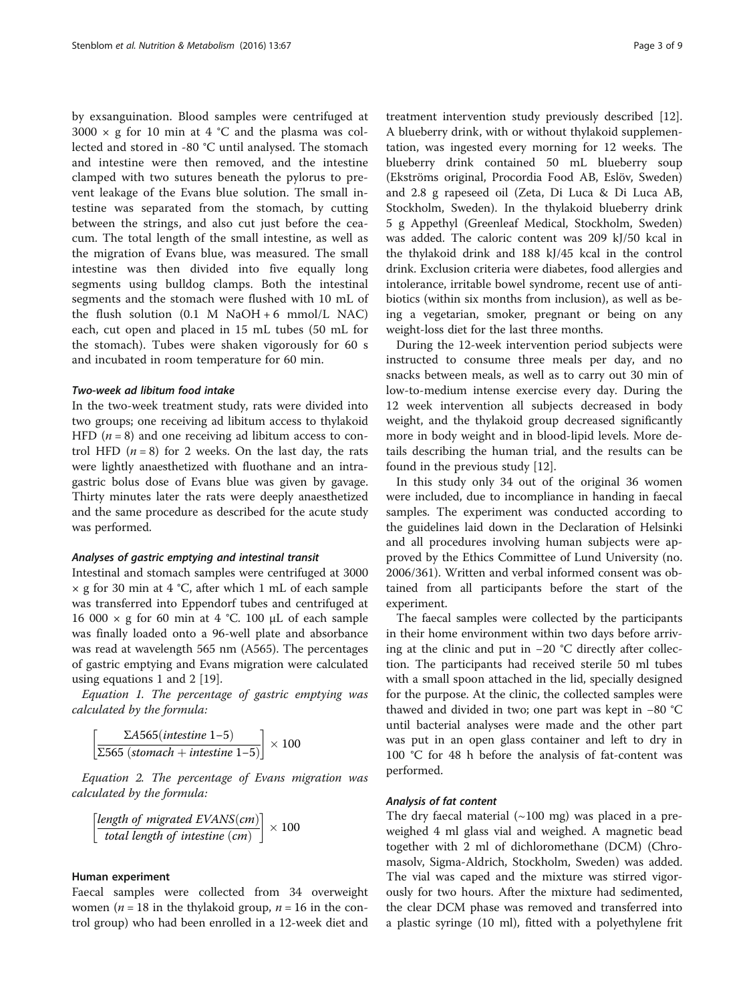by exsanguination. Blood samples were centrifuged at  $3000 \times g$  for 10 min at 4 °C and the plasma was collected and stored in -80 °C until analysed. The stomach and intestine were then removed, and the intestine clamped with two sutures beneath the pylorus to prevent leakage of the Evans blue solution. The small intestine was separated from the stomach, by cutting between the strings, and also cut just before the ceacum. The total length of the small intestine, as well as the migration of Evans blue, was measured. The small intestine was then divided into five equally long segments using bulldog clamps. Both the intestinal segments and the stomach were flushed with 10 mL of the flush solution  $(0.1 \text{ M } NaOH + 6 \text{ mmol/L } NaC)$ each, cut open and placed in 15 mL tubes (50 mL for the stomach). Tubes were shaken vigorously for 60 s and incubated in room temperature for 60 min.

#### Two-week ad libitum food intake

In the two-week treatment study, rats were divided into two groups; one receiving ad libitum access to thylakoid HFD  $(n = 8)$  and one receiving ad libitum access to control HFD  $(n = 8)$  for 2 weeks. On the last day, the rats were lightly anaesthetized with fluothane and an intragastric bolus dose of Evans blue was given by gavage. Thirty minutes later the rats were deeply anaesthetized and the same procedure as described for the acute study was performed.

#### Analyses of gastric emptying and intestinal transit

Intestinal and stomach samples were centrifuged at 3000  $\times$  g for 30 min at 4 °C, after which 1 mL of each sample was transferred into Eppendorf tubes and centrifuged at 16 000  $\times$  g for 60 min at 4 °C. 100 μL of each sample was finally loaded onto a 96-well plate and absorbance was read at wavelength 565 nm (A565). The percentages of gastric emptying and Evans migration were calculated using equations 1 and 2 [[19](#page-8-0)].

Equation 1. The percentage of gastric emptying was calculated by the formula:

$$
\left[\frac{\sum A565(intestimate 1-5)}{\sum 565 (stomach + intestine 1-5)}\right] \times 100
$$

Equation 2. The percentage of Evans migration was calculated by the formula:

$$
\left[\frac{length\ of\ migrated\ EVANS(cm)}{total\ length\ of\ intestine\ (cm)}\right] \times 100
$$

## Human experiment

Faecal samples were collected from 34 overweight women ( $n = 18$  in the thylakoid group,  $n = 16$  in the control group) who had been enrolled in a 12-week diet and treatment intervention study previously described [\[12](#page-8-0)]. A blueberry drink, with or without thylakoid supplementation, was ingested every morning for 12 weeks. The blueberry drink contained 50 mL blueberry soup (Ekströms original, Procordia Food AB, Eslöv, Sweden) and 2.8 g rapeseed oil (Zeta, Di Luca & Di Luca AB, Stockholm, Sweden). In the thylakoid blueberry drink 5 g Appethyl (Greenleaf Medical, Stockholm, Sweden) was added. The caloric content was 209 kJ/50 kcal in the thylakoid drink and 188 kJ/45 kcal in the control drink. Exclusion criteria were diabetes, food allergies and intolerance, irritable bowel syndrome, recent use of antibiotics (within six months from inclusion), as well as being a vegetarian, smoker, pregnant or being on any weight-loss diet for the last three months.

During the 12-week intervention period subjects were instructed to consume three meals per day, and no snacks between meals, as well as to carry out 30 min of low-to-medium intense exercise every day. During the 12 week intervention all subjects decreased in body weight, and the thylakoid group decreased significantly more in body weight and in blood-lipid levels. More details describing the human trial, and the results can be found in the previous study [[12\]](#page-8-0).

In this study only 34 out of the original 36 women were included, due to incompliance in handing in faecal samples. The experiment was conducted according to the guidelines laid down in the Declaration of Helsinki and all procedures involving human subjects were approved by the Ethics Committee of Lund University (no. 2006/361). Written and verbal informed consent was obtained from all participants before the start of the experiment.

The faecal samples were collected by the participants in their home environment within two days before arriving at the clinic and put in −20 °C directly after collection. The participants had received sterile 50 ml tubes with a small spoon attached in the lid, specially designed for the purpose. At the clinic, the collected samples were thawed and divided in two; one part was kept in −80 °C until bacterial analyses were made and the other part was put in an open glass container and left to dry in 100 °C for 48 h before the analysis of fat-content was performed.

## Analysis of fat content

The dry faecal material  $(\sim 100 \text{ mg})$  was placed in a preweighed 4 ml glass vial and weighed. A magnetic bead together with 2 ml of dichloromethane (DCM) (Chromasolv, Sigma-Aldrich, Stockholm, Sweden) was added. The vial was caped and the mixture was stirred vigorously for two hours. After the mixture had sedimented, the clear DCM phase was removed and transferred into a plastic syringe (10 ml), fitted with a polyethylene frit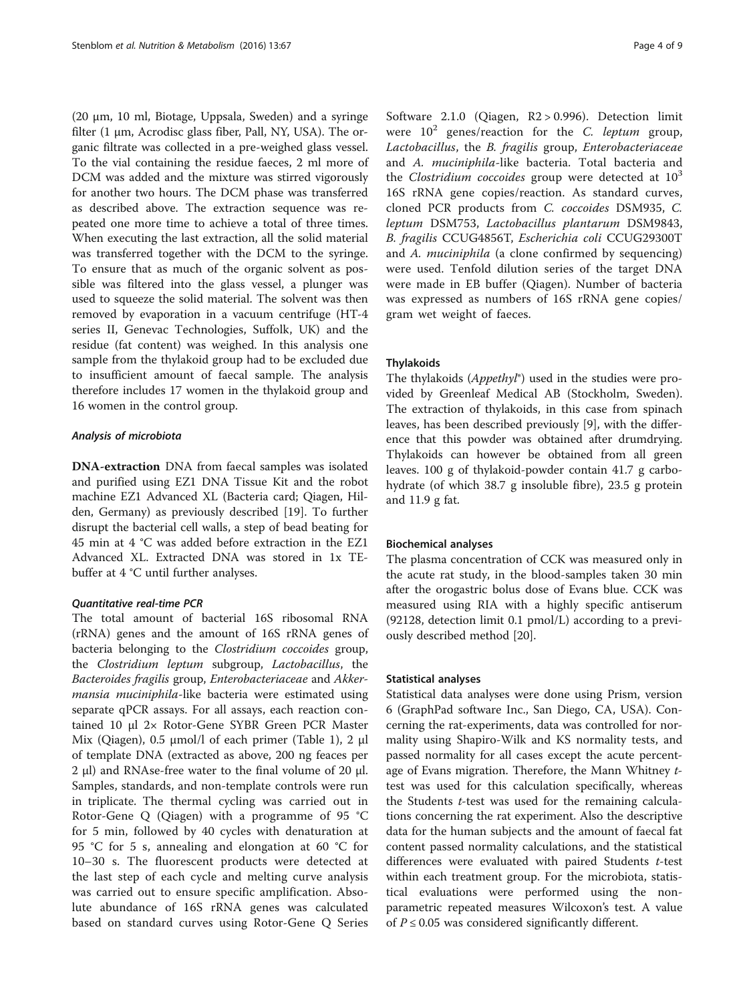(20 μm, 10 ml, Biotage, Uppsala, Sweden) and a syringe filter  $(1 \mu m)$ , Acrodisc glass fiber, Pall, NY, USA). The organic filtrate was collected in a pre-weighed glass vessel. To the vial containing the residue faeces, 2 ml more of DCM was added and the mixture was stirred vigorously for another two hours. The DCM phase was transferred as described above. The extraction sequence was repeated one more time to achieve a total of three times. When executing the last extraction, all the solid material was transferred together with the DCM to the syringe. To ensure that as much of the organic solvent as possible was filtered into the glass vessel, a plunger was used to squeeze the solid material. The solvent was then removed by evaporation in a vacuum centrifuge (HT-4 series II, Genevac Technologies, Suffolk, UK) and the residue (fat content) was weighed. In this analysis one sample from the thylakoid group had to be excluded due to insufficient amount of faecal sample. The analysis therefore includes 17 women in the thylakoid group and 16 women in the control group.

#### Analysis of microbiota

DNA-extraction DNA from faecal samples was isolated and purified using EZ1 DNA Tissue Kit and the robot machine EZ1 Advanced XL (Bacteria card; Qiagen, Hilden, Germany) as previously described [\[19\]](#page-8-0). To further disrupt the bacterial cell walls, a step of bead beating for 45 min at 4 °C was added before extraction in the EZ1 Advanced XL. Extracted DNA was stored in 1x TEbuffer at 4 °C until further analyses.

#### Quantitative real-time PCR

The total amount of bacterial 16S ribosomal RNA (rRNA) genes and the amount of 16S rRNA genes of bacteria belonging to the Clostridium coccoides group, the Clostridium leptum subgroup, Lactobacillus, the Bacteroides fragilis group, Enterobacteriaceae and Akkermansia muciniphila-like bacteria were estimated using separate qPCR assays. For all assays, each reaction contained 10 μl 2× Rotor-Gene SYBR Green PCR Master Mix (Qiagen), 0.5 μmol/l of each primer (Table [1\)](#page-4-0), 2 μl of template DNA (extracted as above, 200 ng feaces per 2 μl) and RNAse-free water to the final volume of 20 μl. Samples, standards, and non-template controls were run in triplicate. The thermal cycling was carried out in Rotor-Gene Q (Qiagen) with a programme of 95 °C for 5 min, followed by 40 cycles with denaturation at 95 °C for 5 s, annealing and elongation at 60 °C for 10–30 s. The fluorescent products were detected at the last step of each cycle and melting curve analysis was carried out to ensure specific amplification. Absolute abundance of 16S rRNA genes was calculated based on standard curves using Rotor-Gene Q Series

Software 2.1.0 (Qiagen, R2 > 0.996). Detection limit were  $10^2$  genes/reaction for the C. leptum group, Lactobacillus, the B. fragilis group, Enterobacteriaceae and A. muciniphila-like bacteria. Total bacteria and the Clostridium coccoides group were detected at  $10^3$ 16S rRNA gene copies/reaction. As standard curves, cloned PCR products from C. coccoides DSM935, C. leptum DSM753, Lactobacillus plantarum DSM9843, B. fragilis CCUG4856T, Escherichia coli CCUG29300T and A. muciniphila (a clone confirmed by sequencing) were used. Tenfold dilution series of the target DNA were made in EB buffer (Qiagen). Number of bacteria was expressed as numbers of 16S rRNA gene copies/ gram wet weight of faeces.

#### **Thylakoids**

The thylakoids (Appethyl®) used in the studies were provided by Greenleaf Medical AB (Stockholm, Sweden). The extraction of thylakoids, in this case from spinach leaves, has been described previously [\[9](#page-8-0)], with the difference that this powder was obtained after drumdrying. Thylakoids can however be obtained from all green leaves. 100 g of thylakoid-powder contain 41.7 g carbohydrate (of which 38.7 g insoluble fibre), 23.5 g protein and 11.9 g fat.

#### Biochemical analyses

The plasma concentration of CCK was measured only in the acute rat study, in the blood-samples taken 30 min after the orogastric bolus dose of Evans blue. CCK was measured using RIA with a highly specific antiserum (92128, detection limit 0.1 pmol/L) according to a previously described method [\[20\]](#page-8-0).

#### Statistical analyses

Statistical data analyses were done using Prism, version 6 (GraphPad software Inc., San Diego, CA, USA). Concerning the rat-experiments, data was controlled for normality using Shapiro-Wilk and KS normality tests, and passed normality for all cases except the acute percentage of Evans migration. Therefore, the Mann Whitney ttest was used for this calculation specifically, whereas the Students  $t$ -test was used for the remaining calculations concerning the rat experiment. Also the descriptive data for the human subjects and the amount of faecal fat content passed normality calculations, and the statistical differences were evaluated with paired Students t-test within each treatment group. For the microbiota, statistical evaluations were performed using the nonparametric repeated measures Wilcoxon's test. A value of  $P$  ≤ 0.05 was considered significantly different.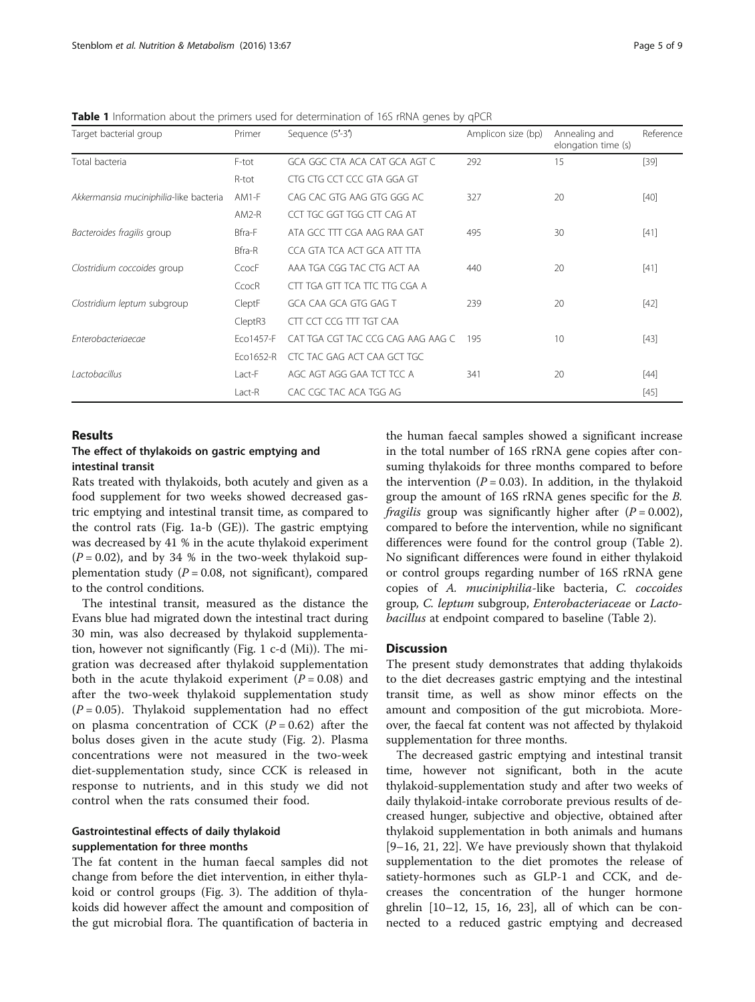| Target bacterial group                 | Primer    | Sequence (5'-3')                  | Amplicon size (bp) | Annealing and<br>elongation time (s) | Reference |
|----------------------------------------|-----------|-----------------------------------|--------------------|--------------------------------------|-----------|
| Total bacteria                         | F-tot     | GCA GGC CTA ACA CAT GCA AGT C     | 292                | 15                                   | $[39]$    |
|                                        | R-tot     | CTG CTG CCT CCC GTA GGA GT        |                    |                                      |           |
| Akkermansia muciniphilia-like bacteria | $AM1-F$   | CAG CAC GTG AAG GTG GGG AC        | 327                | 20                                   | $[40]$    |
|                                        | $AM2-R$   | CCT TGC GGT TGG CTT CAG AT        |                    |                                      |           |
| Bacteroides fragilis group             | Bfra-F    | ATA GCC TTT CGA AAG RAA GAT       | 495                | 30                                   | $[41]$    |
|                                        | Bfra-R    | CCA GTA TCA ACT GCA ATT TTA       |                    |                                      |           |
| Clostridium coccoides group            | CcocF     | AAA TGA CGG TAC CTG ACT AA        | 440                | 20                                   | $[41]$    |
|                                        | CcocR     | CTT TGA GTT TCA TTC TTG CGA A     |                    |                                      |           |
| Clostridium leptum subgroup            | CleptF    | GCA CAA GCA GTG GAG T             | 239                | 20                                   | $[42]$    |
|                                        | CleptR3   | CTT CCT CCG TTT TGT CAA           |                    |                                      |           |
| Enterobacteriaecae                     | Eco1457-F | CAT TGA CGT TAC CCG CAG AAG AAG C | 195                | 10                                   | $[43]$    |
|                                        | Eco1652-R | CTC TAC GAG ACT CAA GCT TGC       |                    |                                      |           |
| Lactobacillus                          | Lact-F    | AGC AGT AGG GAA TCT TCC A         | 341                | 20                                   | $[44]$    |
|                                        | Lact-R    | CAC CGC TAC ACA TGG AG            |                    |                                      | $[45]$    |

<span id="page-4-0"></span>Table 1 Information about the primers used for determination of 16S rRNA genes by qPCR

## Results

## The effect of thylakoids on gastric emptying and intestinal transit

Rats treated with thylakoids, both acutely and given as a food supplement for two weeks showed decreased gastric emptying and intestinal transit time, as compared to the control rats (Fig. [1a-b](#page-5-0) (GE)). The gastric emptying was decreased by 41 % in the acute thylakoid experiment  $(P = 0.02)$ , and by 34 % in the two-week thylakoid supplementation study ( $P = 0.08$ , not significant), compared to the control conditions.

The intestinal transit, measured as the distance the Evans blue had migrated down the intestinal tract during 30 min, was also decreased by thylakoid supplementation, however not significantly (Fig. [1](#page-5-0) c-d (Mi)). The migration was decreased after thylakoid supplementation both in the acute thylakoid experiment  $(P = 0.08)$  and after the two-week thylakoid supplementation study  $(P = 0.05)$ . Thylakoid supplementation had no effect on plasma concentration of CCK  $(P = 0.62)$  after the bolus doses given in the acute study (Fig. [2\)](#page-5-0). Plasma concentrations were not measured in the two-week diet-supplementation study, since CCK is released in response to nutrients, and in this study we did not control when the rats consumed their food.

## Gastrointestinal effects of daily thylakoid supplementation for three months

The fat content in the human faecal samples did not change from before the diet intervention, in either thylakoid or control groups (Fig. [3\)](#page-6-0). The addition of thylakoids did however affect the amount and composition of the gut microbial flora. The quantification of bacteria in

the human faecal samples showed a significant increase in the total number of 16S rRNA gene copies after consuming thylakoids for three months compared to before the intervention ( $P = 0.03$ ). In addition, in the thylakoid group the amount of 16S rRNA genes specific for the B. fragilis group was significantly higher after  $(P = 0.002)$ , compared to before the intervention, while no significant differences were found for the control group (Table [2](#page-6-0)). No significant differences were found in either thylakoid or control groups regarding number of 16S rRNA gene copies of A. muciniphilia-like bacteria, C. coccoides group, C. leptum subgroup, Enterobacteriaceae or Lactobacillus at endpoint compared to baseline (Table [2\)](#page-6-0).

## **Discussion**

The present study demonstrates that adding thylakoids to the diet decreases gastric emptying and the intestinal transit time, as well as show minor effects on the amount and composition of the gut microbiota. Moreover, the faecal fat content was not affected by thylakoid supplementation for three months.

The decreased gastric emptying and intestinal transit time, however not significant, both in the acute thylakoid-supplementation study and after two weeks of daily thylakoid-intake corroborate previous results of decreased hunger, subjective and objective, obtained after thylakoid supplementation in both animals and humans [[9](#page-8-0)–[16, 21, 22](#page-8-0)]. We have previously shown that thylakoid supplementation to the diet promotes the release of satiety-hormones such as GLP-1 and CCK, and decreases the concentration of the hunger hormone ghrelin [[10](#page-8-0)–[12](#page-8-0), [15](#page-8-0), [16](#page-8-0), [23](#page-8-0)], all of which can be connected to a reduced gastric emptying and decreased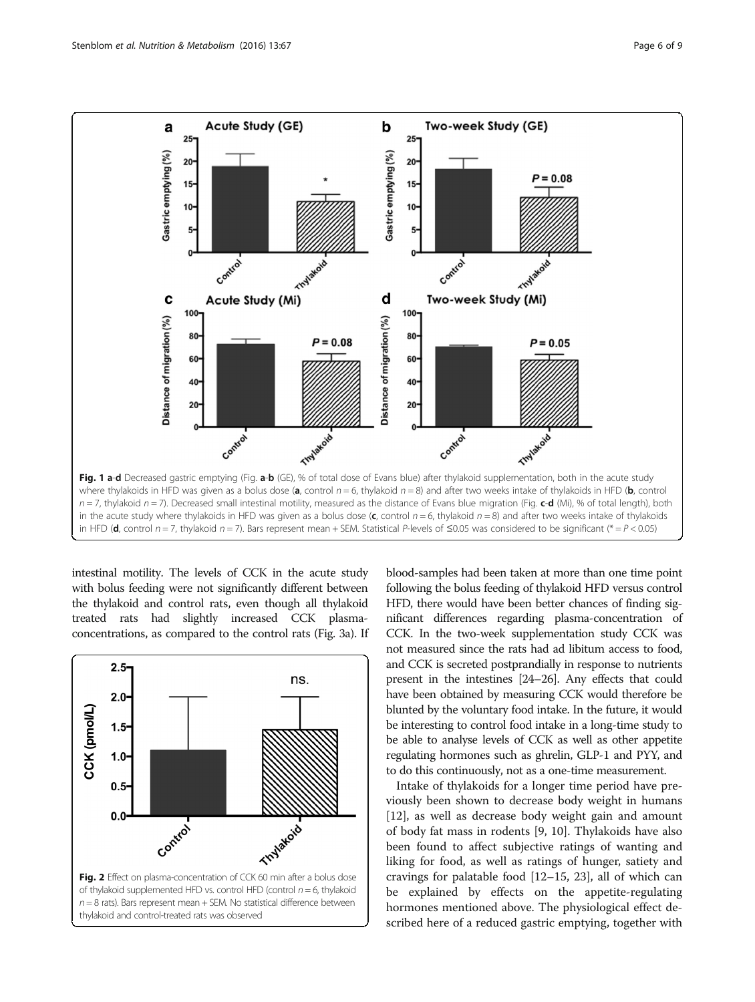<span id="page-5-0"></span>

intestinal motility. The levels of CCK in the acute study with bolus feeding were not significantly different between the thylakoid and control rats, even though all thylakoid treated rats had slightly increased CCK plasmaconcentrations, as compared to the control rats (Fig. [3a\)](#page-6-0). If



blood-samples had been taken at more than one time point following the bolus feeding of thylakoid HFD versus control HFD, there would have been better chances of finding significant differences regarding plasma-concentration of CCK. In the two-week supplementation study CCK was not measured since the rats had ad libitum access to food, and CCK is secreted postprandially in response to nutrients present in the intestines [\[24](#page-8-0)–[26\]](#page-8-0). Any effects that could have been obtained by measuring CCK would therefore be blunted by the voluntary food intake. In the future, it would be interesting to control food intake in a long-time study to be able to analyse levels of CCK as well as other appetite regulating hormones such as ghrelin, GLP-1 and PYY, and to do this continuously, not as a one-time measurement.

Intake of thylakoids for a longer time period have previously been shown to decrease body weight in humans [[12\]](#page-8-0), as well as decrease body weight gain and amount of body fat mass in rodents [[9, 10\]](#page-8-0). Thylakoids have also been found to affect subjective ratings of wanting and liking for food, as well as ratings of hunger, satiety and cravings for palatable food [[12](#page-8-0)–[15](#page-8-0), [23\]](#page-8-0), all of which can be explained by effects on the appetite-regulating hormones mentioned above. The physiological effect described here of a reduced gastric emptying, together with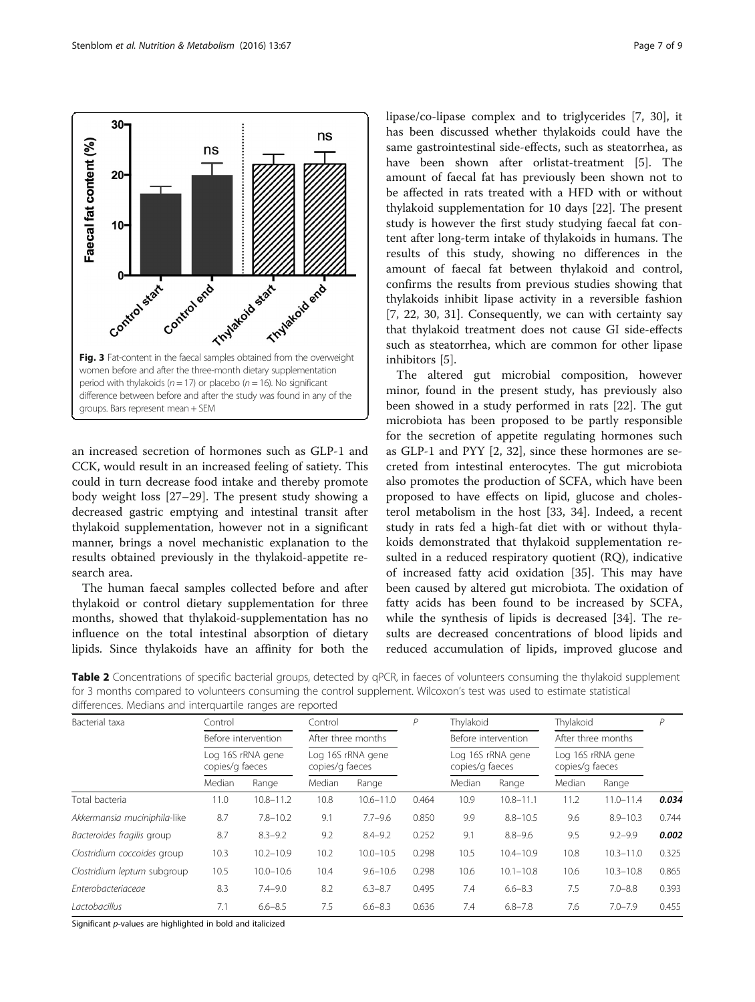<span id="page-6-0"></span> $30$ ns Faecal fat content (%) ns  $20<sub>0</sub>$  $10<sub>1</sub>$ Control and Control end Timparad Start Control of the Content of the Content in the facts samples obtained from the overweight Control start Control end women before and after the three-month dietary supplementation period with thylakoids ( $n = 17$ ) or placebo ( $n = 16$ ). No significant difference between before and after the study was found in any of the groups. Bars represent mean + SEM

an increased secretion of hormones such as GLP-1 and CCK, would result in an increased feeling of satiety. This could in turn decrease food intake and thereby promote body weight loss [[27](#page-8-0)–[29](#page-8-0)]. The present study showing a decreased gastric emptying and intestinal transit after thylakoid supplementation, however not in a significant manner, brings a novel mechanistic explanation to the results obtained previously in the thylakoid-appetite research area.

The human faecal samples collected before and after thylakoid or control dietary supplementation for three months, showed that thylakoid-supplementation has no influence on the total intestinal absorption of dietary lipids. Since thylakoids have an affinity for both the lipase/co-lipase complex and to triglycerides [\[7](#page-8-0), [30\]](#page-8-0), it has been discussed whether thylakoids could have the same gastrointestinal side-effects, such as steatorrhea, as have been shown after orlistat-treatment [[5\]](#page-8-0). The amount of faecal fat has previously been shown not to be affected in rats treated with a HFD with or without thylakoid supplementation for 10 days [\[22](#page-8-0)]. The present study is however the first study studying faecal fat content after long-term intake of thylakoids in humans. The results of this study, showing no differences in the amount of faecal fat between thylakoid and control, confirms the results from previous studies showing that thylakoids inhibit lipase activity in a reversible fashion [[7, 22, 30, 31](#page-8-0)]. Consequently, we can with certainty say that thylakoid treatment does not cause GI side-effects such as steatorrhea, which are common for other lipase inhibitors [\[5\]](#page-8-0).

The altered gut microbial composition, however minor, found in the present study, has previously also been showed in a study performed in rats [[22\]](#page-8-0). The gut microbiota has been proposed to be partly responsible for the secretion of appetite regulating hormones such as GLP-1 and PYY [\[2](#page-7-0), [32](#page-8-0)], since these hormones are secreted from intestinal enterocytes. The gut microbiota also promotes the production of SCFA, which have been proposed to have effects on lipid, glucose and cholesterol metabolism in the host [\[33, 34](#page-8-0)]. Indeed, a recent study in rats fed a high-fat diet with or without thylakoids demonstrated that thylakoid supplementation resulted in a reduced respiratory quotient (RQ), indicative of increased fatty acid oxidation [[35\]](#page-8-0). This may have been caused by altered gut microbiota. The oxidation of fatty acids has been found to be increased by SCFA, while the synthesis of lipids is decreased [[34\]](#page-8-0). The results are decreased concentrations of blood lipids and reduced accumulation of lipids, improved glucose and

| Bacterial taxa              | Control<br>Before intervention<br>Log 16S rRNA gene<br>copies/g faeces |               | Control<br>After three months<br>Log 16S rRNA gene<br>copies/g faeces |               | P           | Thylakoid<br>Before intervention<br>Log 16S rRNA gene<br>copies/g faeces |               | Thylakoid<br>After three months<br>Log 16S rRNA gene<br>copies/g faeces |               | Р            |                |       |               |       |               |        |       |               |       |               |
|-----------------------------|------------------------------------------------------------------------|---------------|-----------------------------------------------------------------------|---------------|-------------|--------------------------------------------------------------------------|---------------|-------------------------------------------------------------------------|---------------|--------------|----------------|-------|---------------|-------|---------------|--------|-------|---------------|-------|---------------|
|                             |                                                                        |               |                                                                       |               |             |                                                                          |               |                                                                         |               |              | Median         | Range | Median        | Range |               | Median | Range | Median        | Range |               |
|                             |                                                                        |               |                                                                       |               |             |                                                                          |               |                                                                         |               |              | Total bacteria | 11.0  | $10.8 - 11.2$ | 10.8  | $10.6 - 11.0$ | 0.464  | 10.9  | $10.8 - 11.1$ | 11.2  | $11.0 - 11.4$ |
|                             | Akkermansia muciniphila-like                                           | 8.7           | $7.8 - 10.2$                                                          | 9.1           | $7.7 - 9.6$ | 0.850                                                                    | 9.9           | $8.8 - 10.5$                                                            | 9.6           | $8.9 - 10.3$ | 0.744          |       |               |       |               |        |       |               |       |               |
| Bacteroides fragilis group  | 8.7                                                                    | $8.3 - 9.2$   | 9.2                                                                   | $8.4 - 9.2$   | 0.252       | 9.1                                                                      | $8.8 - 9.6$   | 9.5                                                                     | $9.2 - 9.9$   | 0.002        |                |       |               |       |               |        |       |               |       |               |
| Clostridium coccoides group | 10.3                                                                   | $10.2 - 10.9$ | 10.2                                                                  | $10.0 - 10.5$ | 0.298       | 10.5                                                                     | $10.4 - 10.9$ | 10.8                                                                    | $10.3 - 11.0$ | 0.325        |                |       |               |       |               |        |       |               |       |               |
| Clostridium leptum subgroup | 10.5                                                                   | $10.0 - 10.6$ | 10.4                                                                  | $9.6 - 10.6$  | 0.298       | 10.6                                                                     | $10.1 - 10.8$ | 10.6                                                                    | $10.3 - 10.8$ | 0.865        |                |       |               |       |               |        |       |               |       |               |
| Enterobacteriaceae          | 8.3                                                                    | $7.4 - 9.0$   | 8.2                                                                   | $6.3 - 8.7$   | 0.495       | 7.4                                                                      | $6.6 - 8.3$   | 7.5                                                                     | $7.0 - 8.8$   | 0.393        |                |       |               |       |               |        |       |               |       |               |
| Lactobacillus               | 7.1                                                                    | $6.6 - 8.5$   | 7.5                                                                   | $6.6 - 8.3$   | 0.636       | 7.4                                                                      | $6.8 - 7.8$   | 7.6                                                                     | $7.0 - 7.9$   | 0.455        |                |       |               |       |               |        |       |               |       |               |

Table 2 Concentrations of specific bacterial groups, detected by qPCR, in faeces of volunteers consuming the thylakoid supplement for 3 months compared to volunteers consuming the control supplement. Wilcoxon's test was used to estimate statistical differences. Medians and interquartile ranges are reported

Significant p-values are highlighted in bold and italicized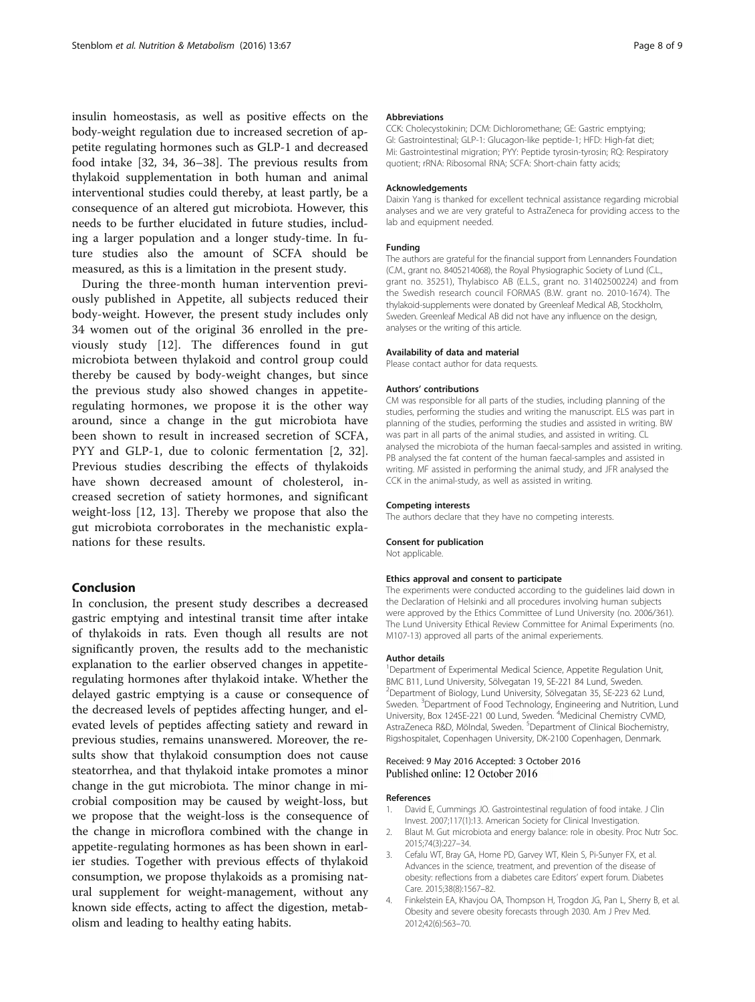<span id="page-7-0"></span>insulin homeostasis, as well as positive effects on the body-weight regulation due to increased secretion of appetite regulating hormones such as GLP-1 and decreased food intake [[32, 34](#page-8-0), [36](#page-8-0)–[38](#page-8-0)]. The previous results from thylakoid supplementation in both human and animal interventional studies could thereby, at least partly, be a consequence of an altered gut microbiota. However, this needs to be further elucidated in future studies, including a larger population and a longer study-time. In future studies also the amount of SCFA should be measured, as this is a limitation in the present study.

During the three-month human intervention previously published in Appetite, all subjects reduced their body-weight. However, the present study includes only 34 women out of the original 36 enrolled in the previously study [\[12](#page-8-0)]. The differences found in gut microbiota between thylakoid and control group could thereby be caused by body-weight changes, but since the previous study also showed changes in appetiteregulating hormones, we propose it is the other way around, since a change in the gut microbiota have been shown to result in increased secretion of SCFA, PYY and GLP-1, due to colonic fermentation [2, [32](#page-8-0)]. Previous studies describing the effects of thylakoids have shown decreased amount of cholesterol, increased secretion of satiety hormones, and significant weight-loss [\[12, 13\]](#page-8-0). Thereby we propose that also the gut microbiota corroborates in the mechanistic explanations for these results.

## Conclusion

In conclusion, the present study describes a decreased gastric emptying and intestinal transit time after intake of thylakoids in rats. Even though all results are not significantly proven, the results add to the mechanistic explanation to the earlier observed changes in appetiteregulating hormones after thylakoid intake. Whether the delayed gastric emptying is a cause or consequence of the decreased levels of peptides affecting hunger, and elevated levels of peptides affecting satiety and reward in previous studies, remains unanswered. Moreover, the results show that thylakoid consumption does not cause steatorrhea, and that thylakoid intake promotes a minor change in the gut microbiota. The minor change in microbial composition may be caused by weight-loss, but we propose that the weight-loss is the consequence of the change in microflora combined with the change in appetite-regulating hormones as has been shown in earlier studies. Together with previous effects of thylakoid consumption, we propose thylakoids as a promising natural supplement for weight-management, without any known side effects, acting to affect the digestion, metabolism and leading to healthy eating habits.

#### Abbreviations

CCK: Cholecystokinin; DCM: Dichloromethane; GE: Gastric emptying; GI: Gastrointestinal; GLP-1: Glucagon-like peptide-1; HFD: High-fat diet; Mi: Gastrointestinal migration; PYY: Peptide tyrosin-tyrosin; RQ: Respiratory quotient; rRNA: Ribosomal RNA; SCFA: Short-chain fatty acids;

#### Acknowledgements

Daixin Yang is thanked for excellent technical assistance regarding microbial analyses and we are very grateful to AstraZeneca for providing access to the lab and equipment needed.

#### Funding

The authors are grateful for the financial support from Lennanders Foundation (C.M., grant no. 8405214068), the Royal Physiographic Society of Lund (C.L., grant no. 35251), Thylabisco AB (E.L.S., grant no. 31402500224) and from the Swedish research council FORMAS (B.W. grant no. 2010-1674). The thylakoid-supplements were donated by Greenleaf Medical AB, Stockholm, Sweden. Greenleaf Medical AB did not have any influence on the design, analyses or the writing of this article.

#### Availability of data and material

Please contact author for data requests.

#### Authors' contributions

CM was responsible for all parts of the studies, including planning of the studies, performing the studies and writing the manuscript. ELS was part in planning of the studies, performing the studies and assisted in writing. BW was part in all parts of the animal studies, and assisted in writing. CL analysed the microbiota of the human faecal-samples and assisted in writing. PB analysed the fat content of the human faecal-samples and assisted in writing. MF assisted in performing the animal study, and JFR analysed the CCK in the animal-study, as well as assisted in writing.

#### Competing interests

The authors declare that they have no competing interests.

#### Consent for publication

Not applicable.

#### Ethics approval and consent to participate

The experiments were conducted according to the guidelines laid down in the Declaration of Helsinki and all procedures involving human subjects were approved by the Ethics Committee of Lund University (no. 2006/361). The Lund University Ethical Review Committee for Animal Experiments (no. M107-13) approved all parts of the animal experiements.

#### Author details

<sup>1</sup>Department of Experimental Medical Science, Appetite Regulation Unit BMC B11, Lund University, Sölvegatan 19, SE-221 84 Lund, Sweden. 2 Department of Biology, Lund University, Sölvegatan 35, SE-223 62 Lund, Sweden. <sup>3</sup>Department of Food Technology, Engineering and Nutrition, Lund University, Box 124SE-221 00 Lund, Sweden. <sup>4</sup>Medicinal Chemistry CVMD AstraZeneca R&D, Mölndal, Sweden. <sup>5</sup>Department of Clinical Biochemistry Rigshospitalet, Copenhagen University, DK-2100 Copenhagen, Denmark.

#### Received: 9 May 2016 Accepted: 3 October 2016 Published online: 12 October 2016

#### References

- 1. David E, Cummings JO. Gastrointestinal regulation of food intake. J Clin Invest. 2007;117(1):13. American Society for Clinical Investigation.
- 2. Blaut M. Gut microbiota and energy balance: role in obesity. Proc Nutr Soc. 2015;74(3):227–34.
- 3. Cefalu WT, Bray GA, Home PD, Garvey WT, Klein S, Pi-Sunyer FX, et al. Advances in the science, treatment, and prevention of the disease of obesity: reflections from a diabetes care Editors' expert forum. Diabetes Care. 2015;38(8):1567–82.
- 4. Finkelstein EA, Khavjou OA, Thompson H, Trogdon JG, Pan L, Sherry B, et al. Obesity and severe obesity forecasts through 2030. Am J Prev Med. 2012;42(6):563–70.